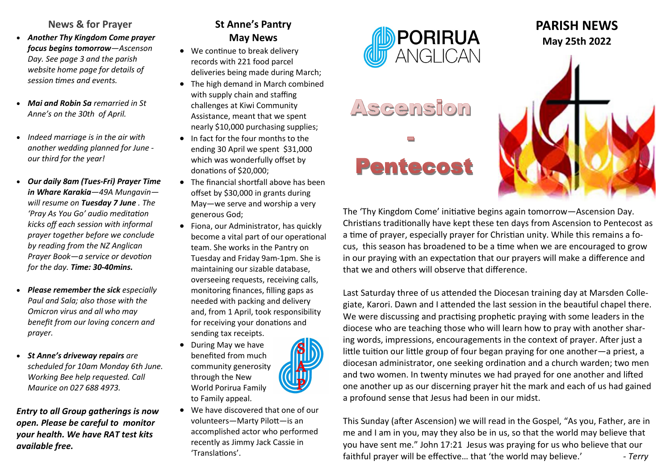### **News & for Prayer**

- *Another Thy Kingdom Come prayer focus begins tomorrow—Ascenson Day. See page 3 and the parish website home page for details of session times and events.*
- *Mai and Robin Sa remarried in St Anne's on the 30th of April.*
- *Indeed marriage is in the air with another wedding planned for June our third for the year!*
- *Our daily 8am (Tues-Fri) Prayer Time in Whare Karakia—49A Mungavin will resume on Tuesday 7 June . The 'Pray As You Go' audio meditation kicks off each session with informal prayer together before we conclude by reading from the NZ Anglican Prayer Book—a service or devotion for the day. Time: 30-40mins.*
- *Please remember the sick especially Paul and Sala; also those with the Omicron virus and all who may benefit from our loving concern and prayer.*
- *St Anne's driveway repairs are scheduled for 10am Monday 6th June. Working Bee help requested. Call Maurice on 027 688 4973.*

*Entry to all Group gatherings is now open. Please be careful to monitor your health. We have RAT test kits available free.*

## **St Anne's Pantry May News**

- We continue to break delivery records with 221 food parcel deliveries being made during March;
- The high demand in March combined with supply chain and staffing challenges at Kiwi Community Assistance, meant that we spent nearly \$10,000 purchasing supplies;
- In fact for the four months to the ending 30 April we spent \$31,000 which was wonderfully offset by donations of \$20,000;
- The financial shortfall above has been offset by \$30,000 in grants during May—we serve and worship a very generous God;
- Fiona, our Administrator, has quickly become a vital part of our operational team. She works in the Pantry on Tuesday and Friday 9am-1pm. She is maintaining our sizable database, overseeing requests, receiving calls, monitoring finances, filling gaps as needed with packing and delivery and, from 1 April, took responsibility for receiving your donations and sending tax receipts.
- During May we have benefited from much community generosity through the New World Porirua Family to Family appeal.
- We have discovered that one of our volunteers—Marty Pilott—is an accomplished actor who performed recently as Jimmy Jack Cassie in 'Translations'.



# Ascension





The 'Thy Kingdom Come' initiative begins again tomorrow—Ascension Day. Christians traditionally have kept these ten days from Ascension to Pentecost as a time of prayer, especially prayer for Christian unity. While this remains a focus, this season has broadened to be a time when we are encouraged to grow in our praying with an expectation that our prayers will make a difference and that we and others will observe that difference.

Last Saturday three of us attended the Diocesan training day at Marsden Collegiate, Karori. Dawn and I attended the last session in the beautiful chapel there. We were discussing and practising prophetic praying with some leaders in the diocese who are teaching those who will learn how to pray with another sharing words, impressions, encouragements in the context of prayer. After just a little tuition our little group of four began praying for one another—a priest, a diocesan administrator, one seeking ordination and a church warden; two men and two women. In twenty minutes we had prayed for one another and lifted one another up as our discerning prayer hit the mark and each of us had gained a profound sense that Jesus had been in our midst.

This Sunday (after Ascension) we will read in the Gospel, "As you, Father, are in me and I am in you, may they also be in us, so that the world may believe that you have sent me." John 17:21 Jesus was praying for us who believe that our faithful prayer will be effective... that 'the world may believe.' *- Terry*